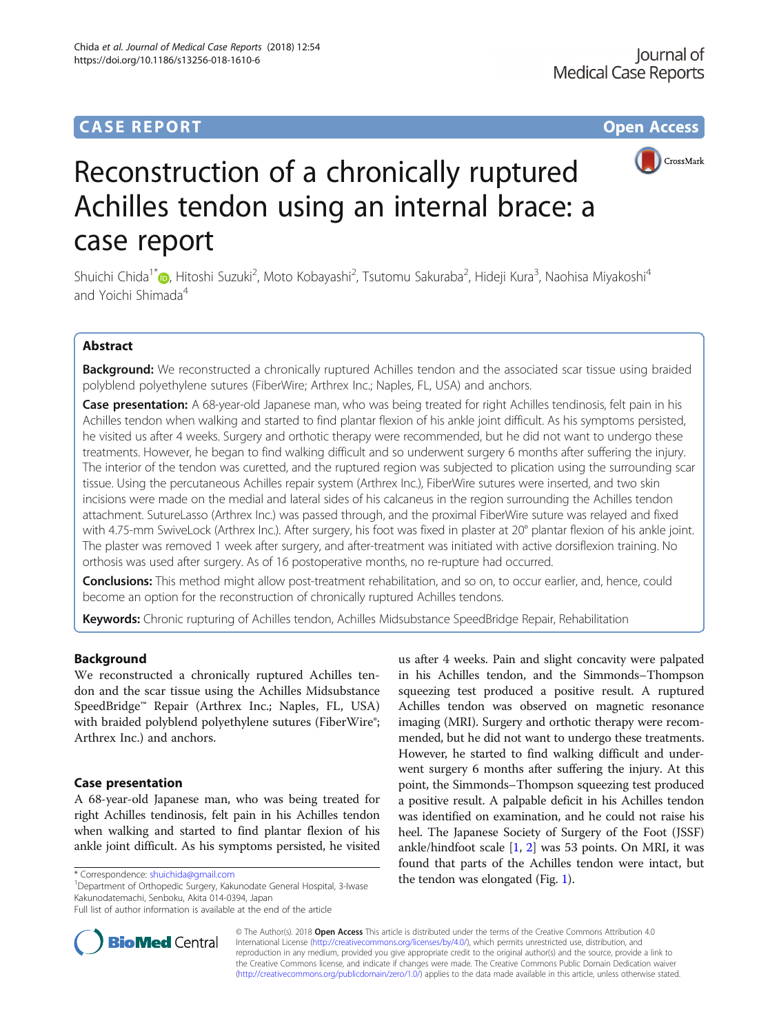## **CASE REPORT CASE REPORT CASE REPORT**



# Reconstruction of a chronically ruptured Achilles tendon using an internal brace: a case report

Shuichi Chida<sup>1\*</sup>�[,](http://orcid.org/0000-0002-0109-2782) Hitoshi Suzuki<sup>2</sup>, Moto Kobayashi<sup>2</sup>, Tsutomu Sakuraba<sup>2</sup>, Hideji Kura<sup>3</sup>, Naohisa Miyakoshi<sup>4</sup> and Yoichi Shimada<sup>4</sup>

## Abstract

Background: We reconstructed a chronically ruptured Achilles tendon and the associated scar tissue using braided polyblend polyethylene sutures (FiberWire; Arthrex Inc.; Naples, FL, USA) and anchors.

Case presentation: A 68-year-old Japanese man, who was being treated for right Achilles tendinosis, felt pain in his Achilles tendon when walking and started to find plantar flexion of his ankle joint difficult. As his symptoms persisted, he visited us after 4 weeks. Surgery and orthotic therapy were recommended, but he did not want to undergo these treatments. However, he began to find walking difficult and so underwent surgery 6 months after suffering the injury. The interior of the tendon was curetted, and the ruptured region was subjected to plication using the surrounding scar tissue. Using the percutaneous Achilles repair system (Arthrex Inc.), FiberWire sutures were inserted, and two skin incisions were made on the medial and lateral sides of his calcaneus in the region surrounding the Achilles tendon attachment. SutureLasso (Arthrex Inc.) was passed through, and the proximal FiberWire suture was relayed and fixed with 4.75-mm SwiveLock (Arthrex Inc.). After surgery, his foot was fixed in plaster at 20° plantar flexion of his ankle joint. The plaster was removed 1 week after surgery, and after-treatment was initiated with active dorsiflexion training. No orthosis was used after surgery. As of 16 postoperative months, no re-rupture had occurred.

Conclusions: This method might allow post-treatment rehabilitation, and so on, to occur earlier, and, hence, could become an option for the reconstruction of chronically ruptured Achilles tendons.

Keywords: Chronic rupturing of Achilles tendon, Achilles Midsubstance SpeedBridge Repair, Rehabilitation

## Background

We reconstructed a chronically ruptured Achilles tendon and the scar tissue using the Achilles Midsubstance SpeedBridge™ Repair (Arthrex Inc.; Naples, FL, USA) with braided polyblend polyethylene sutures (FiberWire®; Arthrex Inc.) and anchors.

## Case presentation

A 68-year-old Japanese man, who was being treated for right Achilles tendinosis, felt pain in his Achilles tendon when walking and started to find plantar flexion of his ankle joint difficult. As his symptoms persisted, he visited

<sup>1</sup>Department of Orthopedic Surgery, Kakunodate General Hospital, 3-Iwase Kakunodatemachi, Senboku, Akita 014-0394, Japan

us after 4 weeks. Pain and slight concavity were palpated in his Achilles tendon, and the Simmonds–Thompson squeezing test produced a positive result. A ruptured Achilles tendon was observed on magnetic resonance imaging (MRI). Surgery and orthotic therapy were recommended, but he did not want to undergo these treatments. However, he started to find walking difficult and underwent surgery 6 months after suffering the injury. At this point, the Simmonds–Thompson squeezing test produced a positive result. A palpable deficit in his Achilles tendon was identified on examination, and he could not raise his heel. The Japanese Society of Surgery of the Foot (JSSF) ankle/hindfoot scale [\[1](#page-3-0), [2](#page-3-0)] was 53 points. On MRI, it was found that parts of the Achilles tendon were intact, but the tendon was elongated (Fig. [1](#page-1-0)). \* Correspondence: [shuichida@gmail.com](mailto:shuichida@gmail.com) <sup>1</sup>



© The Author(s). 2018 Open Access This article is distributed under the terms of the Creative Commons Attribution 4.0 International License [\(http://creativecommons.org/licenses/by/4.0/](http://creativecommons.org/licenses/by/4.0/)), which permits unrestricted use, distribution, and reproduction in any medium, provided you give appropriate credit to the original author(s) and the source, provide a link to the Creative Commons license, and indicate if changes were made. The Creative Commons Public Domain Dedication waiver [\(http://creativecommons.org/publicdomain/zero/1.0/](http://creativecommons.org/publicdomain/zero/1.0/)) applies to the data made available in this article, unless otherwise stated.

Full list of author information is available at the end of the article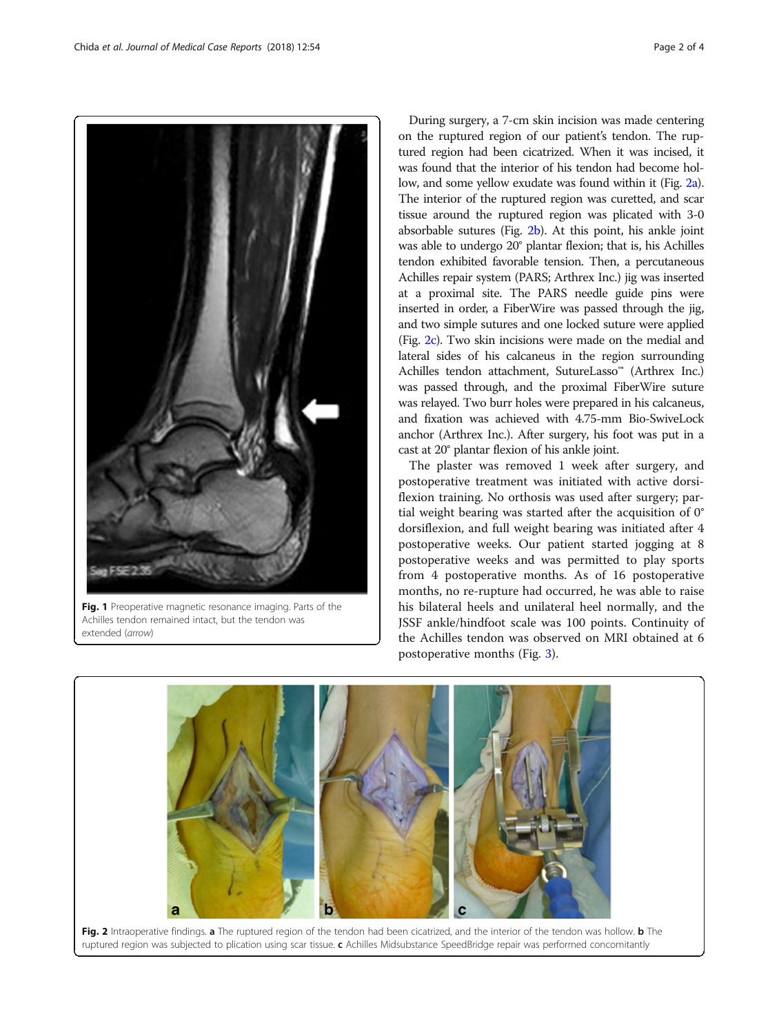<span id="page-1-0"></span>

Fig. 1 Preoperative magnetic resonance imaging. Parts of the Achilles tendon remained intact, but the tendon was extended (arrow)

During surgery, a 7-cm skin incision was made centering on the ruptured region of our patient's tendon. The ruptured region had been cicatrized. When it was incised, it was found that the interior of his tendon had become hollow, and some yellow exudate was found within it (Fig. 2a). The interior of the ruptured region was curetted, and scar tissue around the ruptured region was plicated with 3-0 absorbable sutures (Fig. 2b). At this point, his ankle joint was able to undergo 20° plantar flexion; that is, his Achilles tendon exhibited favorable tension. Then, a percutaneous Achilles repair system (PARS; Arthrex Inc.) jig was inserted at a proximal site. The PARS needle guide pins were inserted in order, a FiberWire was passed through the jig, and two simple sutures and one locked suture were applied (Fig. 2c). Two skin incisions were made on the medial and lateral sides of his calcaneus in the region surrounding Achilles tendon attachment, SutureLasso™ (Arthrex Inc.) was passed through, and the proximal FiberWire suture was relayed. Two burr holes were prepared in his calcaneus, and fixation was achieved with 4.75-mm Bio-SwiveLock anchor (Arthrex Inc.). After surgery, his foot was put in a cast at 20° plantar flexion of his ankle joint.

The plaster was removed 1 week after surgery, and postoperative treatment was initiated with active dorsiflexion training. No orthosis was used after surgery; partial weight bearing was started after the acquisition of 0° dorsiflexion, and full weight bearing was initiated after 4 postoperative weeks. Our patient started jogging at 8 postoperative weeks and was permitted to play sports from 4 postoperative months. As of 16 postoperative months, no re-rupture had occurred, he was able to raise his bilateral heels and unilateral heel normally, and the JSSF ankle/hindfoot scale was 100 points. Continuity of the Achilles tendon was observed on MRI obtained at 6 postoperative months (Fig. [3\)](#page-2-0).



Fig. 2 Intraoperative findings. a The ruptured region of the tendon had been cicatrized, and the interior of the tendon was hollow. b The ruptured region was subjected to plication using scar tissue. c Achilles Midsubstance SpeedBridge repair was performed concomitantly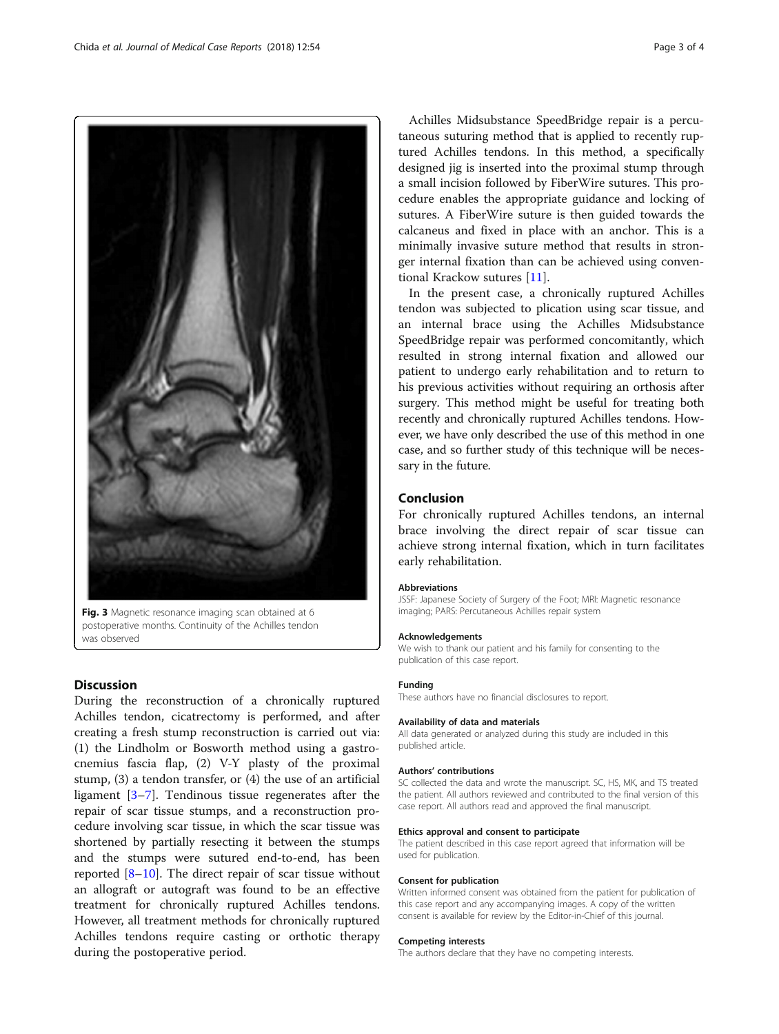<span id="page-2-0"></span>

Fig. 3 Magnetic resonance imaging scan obtained at 6 postoperative months. Continuity of the Achilles tendon was observed

## **Discussion**

During the reconstruction of a chronically ruptured Achilles tendon, cicatrectomy is performed, and after creating a fresh stump reconstruction is carried out via: (1) the Lindholm or Bosworth method using a gastrocnemius fascia flap, (2) V-Y plasty of the proximal stump, (3) a tendon transfer, or (4) the use of an artificial ligament [\[3](#page-3-0)–[7\]](#page-3-0). Tendinous tissue regenerates after the repair of scar tissue stumps, and a reconstruction procedure involving scar tissue, in which the scar tissue was shortened by partially resecting it between the stumps and the stumps were sutured end-to-end, has been reported  $[8-10]$  $[8-10]$  $[8-10]$ . The direct repair of scar tissue without an allograft or autograft was found to be an effective treatment for chronically ruptured Achilles tendons. However, all treatment methods for chronically ruptured Achilles tendons require casting or orthotic therapy during the postoperative period.

Achilles Midsubstance SpeedBridge repair is a percutaneous suturing method that is applied to recently ruptured Achilles tendons. In this method, a specifically designed jig is inserted into the proximal stump through a small incision followed by FiberWire sutures. This procedure enables the appropriate guidance and locking of sutures. A FiberWire suture is then guided towards the calcaneus and fixed in place with an anchor. This is a minimally invasive suture method that results in stronger internal fixation than can be achieved using conventional Krackow sutures [\[11](#page-3-0)].

In the present case, a chronically ruptured Achilles tendon was subjected to plication using scar tissue, and an internal brace using the Achilles Midsubstance SpeedBridge repair was performed concomitantly, which resulted in strong internal fixation and allowed our patient to undergo early rehabilitation and to return to his previous activities without requiring an orthosis after surgery. This method might be useful for treating both recently and chronically ruptured Achilles tendons. However, we have only described the use of this method in one case, and so further study of this technique will be necessary in the future.

## Conclusion

For chronically ruptured Achilles tendons, an internal brace involving the direct repair of scar tissue can achieve strong internal fixation, which in turn facilitates early rehabilitation.

#### Abbreviations

JSSF: Japanese Society of Surgery of the Foot; MRI: Magnetic resonance imaging; PARS: Percutaneous Achilles repair system

#### Acknowledgements

We wish to thank our patient and his family for consenting to the publication of this case report.

#### Funding

These authors have no financial disclosures to report.

#### Availability of data and materials

All data generated or analyzed during this study are included in this published article.

#### Authors' contributions

SC collected the data and wrote the manuscript. SC, HS, MK, and TS treated the patient. All authors reviewed and contributed to the final version of this case report. All authors read and approved the final manuscript.

#### Ethics approval and consent to participate

The patient described in this case report agreed that information will be used for publication.

#### Consent for publication

Written informed consent was obtained from the patient for publication of this case report and any accompanying images. A copy of the written consent is available for review by the Editor-in-Chief of this journal.

#### Competing interests

The authors declare that they have no competing interests.